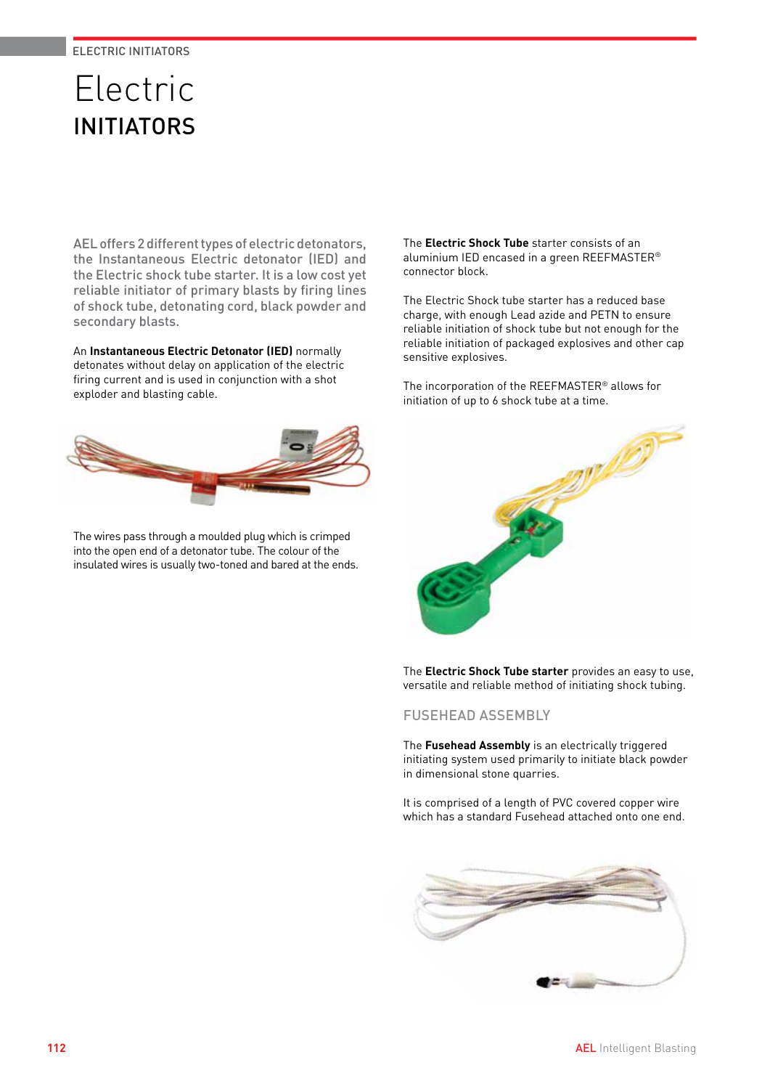# Electric INITIATORS

AEL offers 2 different types of electric detonators, the Instantaneous Electric detonator (IED) and the Electric shock tube starter. It is a low cost yet reliable initiator of primary blasts by firing lines of shock tube, detonating cord, black powder and secondary blasts.

An **Instantaneous Electric Detonator (IED)** normally detonates without delay on application of the electric firing current and is used in conjunction with a shot exploder and blasting cable.



The wires pass through a moulded plug which is crimped into the open end of a detonator tube. The colour of the insulated wires is usually two-toned and bared at the ends. The **Electric Shock Tube** starter consists of an aluminium IED encased in a green REEFMASTER® connector block.

The Electric Shock tube starter has a reduced base charge, with enough Lead azide and PETN to ensure reliable initiation of shock tube but not enough for the reliable initiation of packaged explosives and other cap sensitive explosives.

The incorporation of the REEFMASTER® allows for initiation of up to 6 shock tube at a time.



The **Electric Shock Tube starter** provides an easy to use, versatile and reliable method of initiating shock tubing.

FUSEHEAD ASSEMBLY

The **Fusehead Assembly** is an electrically triggered initiating system used primarily to initiate black powder in dimensional stone quarries.

It is comprised of a length of PVC covered copper wire which has a standard Fusehead attached onto one end.

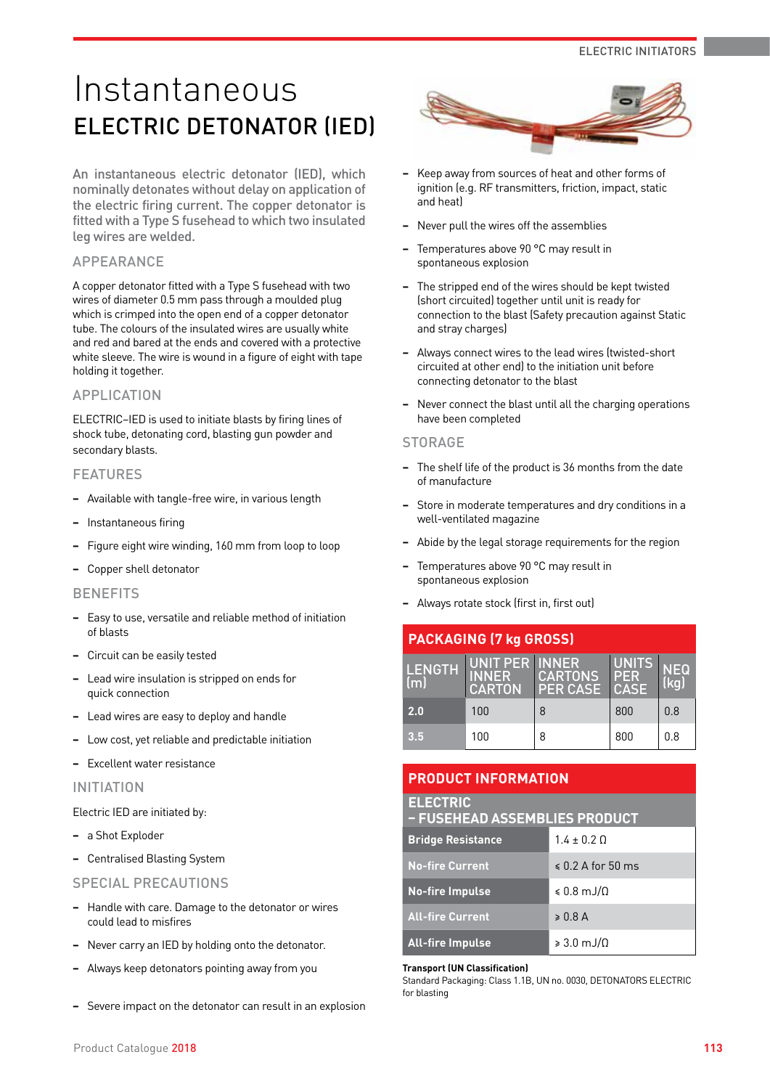# Instantaneous ELECTRIC DETONATOR (IED)

An instantaneous electric detonator (IED), which nominally detonates without delay on application of the electric firing current. The copper detonator is fitted with a Type S fusehead to which two insulated leg wires are welded.

## APPEARANCE

A copper detonator fitted with a Type S fusehead with two wires of diameter 0.5 mm pass through a moulded plug which is crimped into the open end of a copper detonator tube. The colours of the insulated wires are usually white and red and bared at the ends and covered with a protective white sleeve. The wire is wound in a figure of eight with tape holding it together.

# APPLICATION

ELECTRIC–IED is used to initiate blasts by firing lines of shock tube, detonating cord, blasting gun powder and secondary blasts.

## FEATURES

- **−** Available with tangle-free wire, in various length
- **−** Instantaneous firing
- **−** Figure eight wire winding, 160 mm from loop to loop
- **−** Copper shell detonator

#### **BENEFITS**

- **−** Easy to use, versatile and reliable method of initiation of blasts
- **−** Circuit can be easily tested
- **−** Lead wire insulation is stripped on ends for quick connection
- **−** Lead wires are easy to deploy and handle
- **−** Low cost, yet reliable and predictable initiation
- **−** Excellent water resistance

#### INITIATION

Electric IED are initiated by:

- **−** a Shot Exploder
- **−** Centralised Blasting System

#### SPECIAL PRECAUTIONS

- **−** Handle with care. Damage to the detonator or wires could lead to misfires
- **−** Never carry an IED by holding onto the detonator.
- **−** Always keep detonators pointing away from you
- **−** Severe impact on the detonator can result in an explosion



- **−** Keep away from sources of heat and other forms of ignition (e.g. RF transmitters, friction, impact, static and heat)
- **−** Never pull the wires off the assemblies
- **−** Temperatures above 90 °C may result in spontaneous explosion
- **−** The stripped end of the wires should be kept twisted (short circuited) together until unit is ready for connection to the blast (Safety precaution against Static and stray charges)
- **−** Always connect wires to the lead wires (twisted-short circuited at other end) to the initiation unit before connecting detonator to the blast
- **−** Never connect the blast until all the charging operations have been completed

#### **STORAGE**

- **−** The shelf life of the product is 36 months from the date of manufacture
- **−** Store in moderate temperatures and dry conditions in a well-ventilated magazine
- **−** Abide by the legal storage requirements for the region
- **−** Temperatures above 90 °C may result in spontaneous explosion
- **−** Always rotate stock (first in, first out)

| <b>PACKAGING (7 kg GROSS)</b> |                                                 |                                   |                             |             |
|-------------------------------|-------------------------------------------------|-----------------------------------|-----------------------------|-------------|
| <b>LENGTH</b><br>(m)          | UNIT PER INNER<br><b>INNER</b><br><b>CARTON</b> | <b>CARTONS</b><br><b>PER CASE</b> | <b>UNITS</b><br>PER<br>CASE | NEQ<br>(kg) |
| 2.0                           | 100                                             | 8                                 | 800                         | 0.8         |
| 3.5                           | 100                                             | 8                                 | 800                         | 0.8         |

# **PRODUCT INFORMATION**

# **ELECTRIC**

| - FUSEHEAD ASSEMBLIES PRODUCT |                              |  |
|-------------------------------|------------------------------|--|
| <b>Bridge Resistance</b>      | $1.4 \pm 0.2$ Q              |  |
| <b>No-fire Current</b>        | $\leq 0.2$ A for 50 ms       |  |
| <b>No-fire Impulse</b>        | $\leqslant$ 0.8 mJ/ $\Omega$ |  |
| <b>All-fire Current</b>       | $\geqslant 0.8$ A            |  |

#### **Transport (UN Classification)**

**All-fire Impulse** ≥ 3.0 mJ/Ω

Standard Packaging: Class 1.1B, UN no. 0030, DETONATORS ELECTRIC for blasting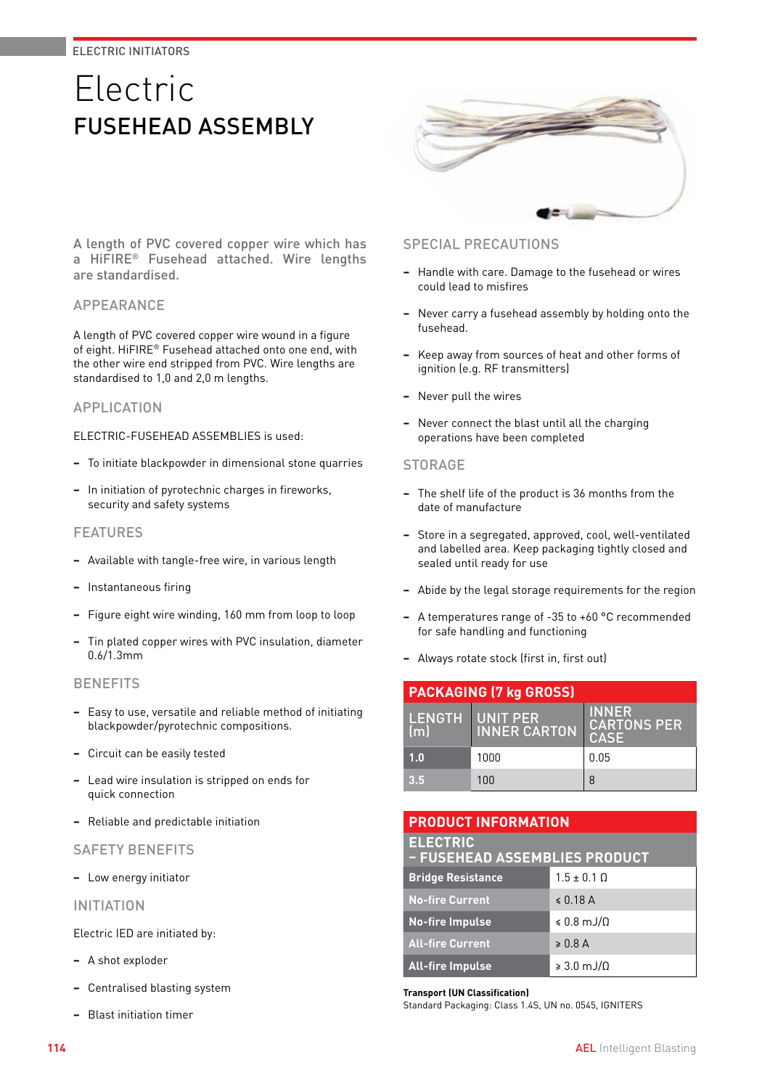# ELECTRIC INITIATORS

# Electric FUSEHEAD ASSEMBLY



A length of PVC covered copper wire which has a HiFIRE® Fusehead attached. Wire lengths are standardised.

## APPEARANCE

A length of PVC covered copper wire wound in a figure of eight. HiFIRE® Fusehead attached onto one end, with the other wire end stripped from PVC. Wire lengths are standardised to 1,0 and 2,0 m lengths.

#### APPLICATION

ELECTRIC-FUSEHEAD ASSEMBLIES is used:

- **−** To initiate blackpowder in dimensional stone quarries
- **−** In initiation of pyrotechnic charges in fireworks, security and safety systems

#### FEATURES

- **−** Available with tangle-free wire, in various length
- **−** Instantaneous firing
- **−** Figure eight wire winding, 160 mm from loop to loop
- **−** Tin plated copper wires with PVC insulation, diameter 0.6/1.3mm

#### **BENEFITS**

- **−** Easy to use, versatile and reliable method of initiating blackpowder/pyrotechnic compositions.
- **−** Circuit can be easily tested
- **−** Lead wire insulation is stripped on ends for quick connection
- **−** Reliable and predictable initiation

# SAFETY BENEFITS

**−** Low energy initiator

INITIATION

Electric IED are initiated by:

- **−** A shot exploder
- **−** Centralised blasting system
- **−** Blast initiation timer

# SPECIAL PRECAUTIONS

- **−** Handle with care. Damage to the fusehead or wires could lead to misfires
- **−** Never carry a fusehead assembly by holding onto the fusehead.
- **−** Keep away from sources of heat and other forms of ignition (e.g. RF transmitters)
- **−** Never pull the wires
- **−** Never connect the blast until all the charging operations have been completed

#### **STORAGE**

- **−** The shelf life of the product is 36 months from the date of manufacture
- **−** Store in a segregated, approved, cool, well-ventilated and labelled area. Keep packaging tightly closed and sealed until ready for use
- **−** Abide by the legal storage requirements for the region
- **−** A temperatures range of -35 to +60 °C recommended for safe handling and functioning
- **−** Always rotate stock (first in, first out)

| <b>PACKAGING (7 kg GROSS)</b> |                                        |                                                   |  |
|-------------------------------|----------------------------------------|---------------------------------------------------|--|
| lm.                           | LENGTH UNIT PER<br><b>INNER CARTON</b> | <b>INNER</b><br><b>CARTONS PER</b><br><b>CASE</b> |  |
| 1.0                           | 1000                                   | 0.05                                              |  |
| 3.5                           | 100                                    | 8                                                 |  |

| <b>PRODUCT INFORMATION</b>                       |                              |  |
|--------------------------------------------------|------------------------------|--|
| <b>ELECTRIC</b><br>- FUSEHEAD ASSEMBLIES PRODUCT |                              |  |
| <b>Bridge Resistance</b>                         | $1.5 \pm 0.1 \Omega$         |  |
| <b>No-fire Current</b>                           | $\leqslant$ 0.18 A           |  |
| <b>No-fire Impulse</b>                           | $\leqslant$ 0.8 mJ/ $\Omega$ |  |
| <b>All-fire Current</b>                          | $\geqslant 0.8$ A            |  |
| <b>All-fire Impulse</b>                          | $\geqslant 3.0$ mJ/ $\Omega$ |  |

#### **Transport (UN Classification)**

Standard Packaging: Class 1.4S, UN no. 0545, IGNITERS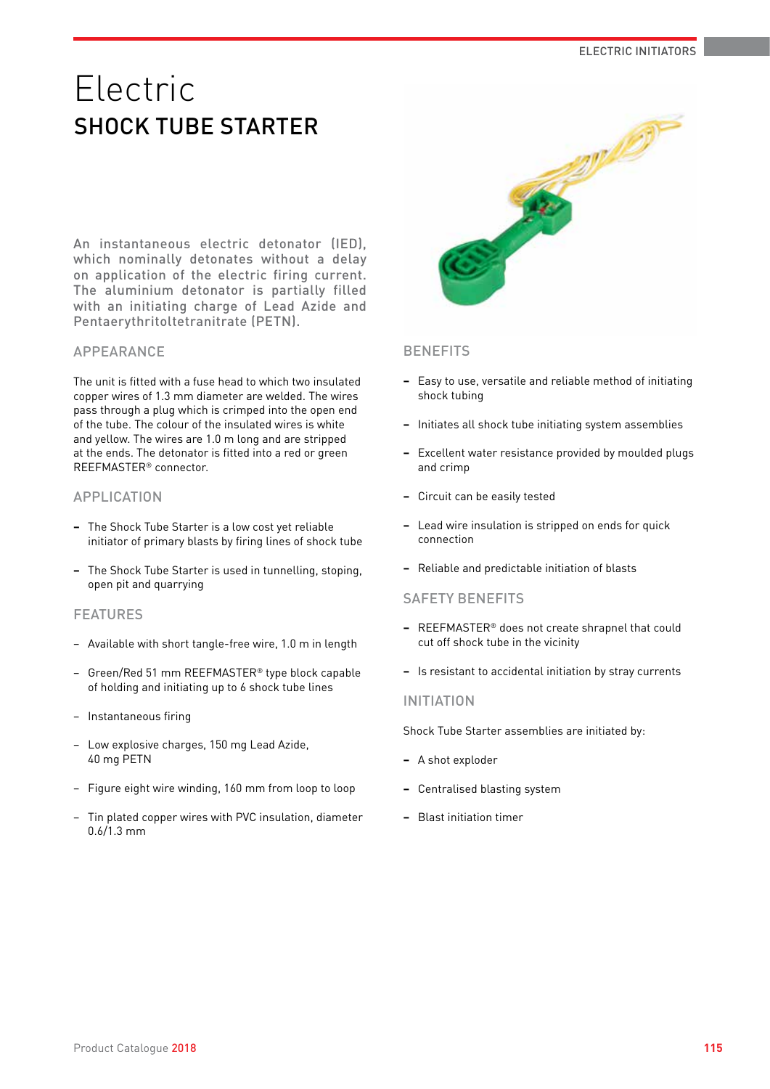# Electric SHOCK TUBE STARTER

An instantaneous electric detonator (IED), which nominally detonates without a delay on application of the electric firing current. The aluminium detonator is partially filled with an initiating charge of Lead Azide and Pentaerythritoltetranitrate (PETN).

# APPEARANCE

The unit is fitted with a fuse head to which two insulated copper wires of 1.3 mm diameter are welded. The wires pass through a plug which is crimped into the open end of the tube. The colour of the insulated wires is white and yellow. The wires are 1.0 m long and are stripped at the ends. The detonator is fitted into a red or green REEFMASTER® connector.

## APPLICATION

- **−** The Shock Tube Starter is a low cost yet reliable initiator of primary blasts by firing lines of shock tube
- **−** The Shock Tube Starter is used in tunnelling, stoping, open pit and quarrying

# FEATURES

- − Available with short tangle-free wire, 1.0 m in length
- − Green/Red 51 mm REEFMASTER® type block capable of holding and initiating up to 6 shock tube lines
- − Instantaneous firing
- − Low explosive charges, 150 mg Lead Azide, 40 mg PETN
- − Figure eight wire winding, 160 mm from loop to loop
- − Tin plated copper wires with PVC insulation, diameter 0.6/1.3 mm



## **BENEFITS**

- **−** Easy to use, versatile and reliable method of initiating shock tubing
- **−** Initiates all shock tube initiating system assemblies
- **−** Excellent water resistance provided by moulded plugs and crimp
- **−** Circuit can be easily tested
- **−** Lead wire insulation is stripped on ends for quick connection
- **−** Reliable and predictable initiation of blasts

#### SAFETY BENEFITS

- **−** REEFMASTER® does not create shrapnel that could cut off shock tube in the vicinity
- **−** Is resistant to accidental initiation by stray currents

#### INITIATION

Shock Tube Starter assemblies are initiated by:

- **−** A shot exploder
- **−** Centralised blasting system
- **−** Blast initiation timer